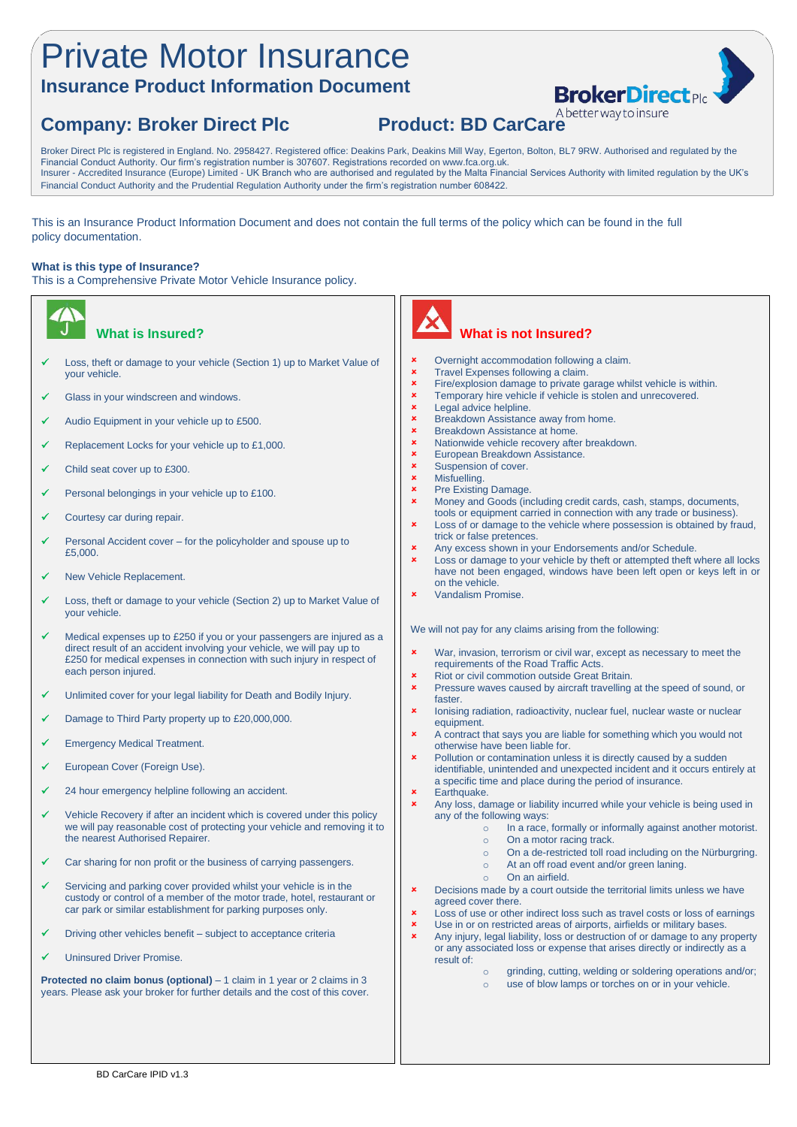# Private Motor Insurance

### **Insurance Product Information Document**

# **Company: Broker Direct Plc Product: BD CarCare**

Broker Direct Plc is registered in England. No. 2958427. Registered office: Deakins Park, Deakins Mill Way, Egerton, Bolton, BL7 9RW. Authorised and regulated by the Financial Conduct Authority. Our firm's registration number is 307607. Registrations recorded on www.fca.org.uk. Insurer - Accredited Insurance (Europe) Limited - UK Branch who are authorised and regulated by the Malta Financial Services Authority with limited regulation by the UK's Financial Conduct Authority and the Prudential Regulation Authority under the firm's registration number 608422.

This is an Insurance Product Information Document and does not contain the full terms of the policy which can be found in the full policy documentation.

#### **What is this type of Insurance?**

This is a Comprehensive Private Motor Vehicle Insurance policy.



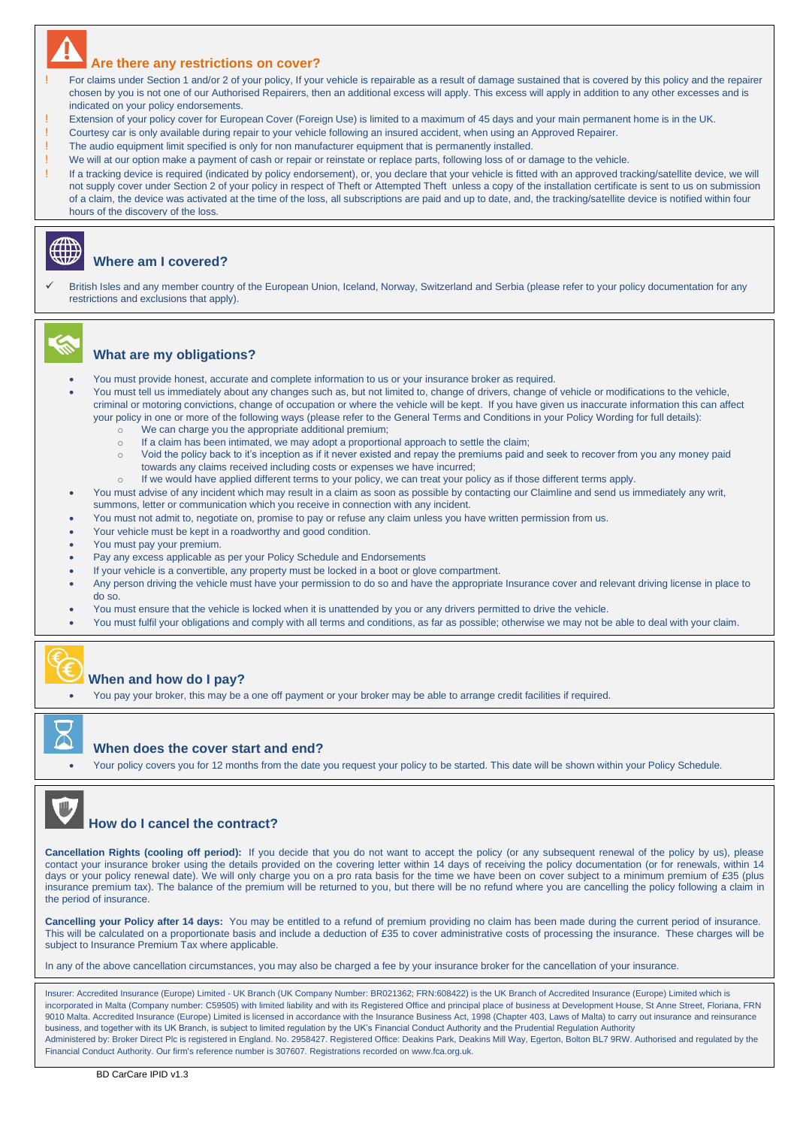#### **Are there any restrictions on cover?**

- For claims under Section 1 and/or 2 of your policy, If your vehicle is repairable as a result of damage sustained that is covered by this policy and the repairer chosen by you is not one of our Authorised Repairers, then an additional excess will apply. This excess will apply in addition to any other excesses and is indicated on your policy endorsements.
- Extension of your policy cover for European Cover (Foreign Use) is limited to a maximum of 45 days and your main permanent home is in the UK.
- ! Courtesy car is only available during repair to your vehicle following an insured accident, when using an Approved Repairer.
- ! The audio equipment limit specified is only for non manufacturer equipment that is permanently installed.
- ! We will at our option make a payment of cash or repair or reinstate or replace parts, following loss of or damage to the vehicle.
- If a tracking device is required (indicated by policy endorsement), or, you declare that your vehicle is fitted with an approved tracking/satellite device, we will not supply cover under Section 2 of your policy in respect of Theft or Attempted Theft unless a copy of the installation certificate is sent to us on submission of a claim, the device was activated at the time of the loss, all subscriptions are paid and up to date, and, the tracking/satellite device is notified within four hours of the discovery of the loss.

#### **Where am I covered?**

British Isles and any member country of the European Union, Iceland, Norway, Switzerland and Serbia (please refer to your policy documentation for any restrictions and exclusions that apply).



#### **What are my obligations?**

- You must provide honest, accurate and complete information to us or your insurance broker as required.
- You must tell us immediately about any changes such as, but not limited to, change of drivers, change of vehicle or modifications to the vehicle, criminal or motoring convictions, change of occupation or where the vehicle will be kept. If you have given us inaccurate information this can affect your policy in one or more of the following ways (please refer to the General Terms and Conditions in your Policy Wording for full details):
	- o We can charge you the appropriate additional premium;
	- o If a claim has been intimated, we may adopt a proportional approach to settle the claim;
	- o Void the policy back to it's inception as if it never existed and repay the premiums paid and seek to recover from you any money paid towards any claims received including costs or expenses we have incurred;
		- If we would have applied different terms to your policy, we can treat your policy as if those different terms apply.
- You must advise of any incident which may result in a claim as soon as possible by contacting our Claimline and send us immediately any writ, summons, letter or communication which you receive in connection with any incident.
- You must not admit to, negotiate on, promise to pay or refuse any claim unless you have written permission from us.
- Your vehicle must be kept in a roadworthy and good condition.
- You must pay your premium.
- Pay any excess applicable as per your Policy Schedule and Endorsements
- If your vehicle is a convertible, any property must be locked in a boot or glove compartment.
- Any person driving the vehicle must have your permission to do so and have the appropriate Insurance cover and relevant driving license in place to do so.
- You must ensure that the vehicle is locked when it is unattended by you or any drivers permitted to drive the vehicle.
- You must fulfil your obligations and comply with all terms and conditions, as far as possible; otherwise we may not be able to deal with your claim.



#### **When and how do I pay?**

• You pay your broker, this may be a one off payment or your broker may be able to arrange credit facilities if required.



#### **When does the cover start and end?**

• Your policy covers you for 12 months from the date you request your policy to be started. This date will be shown within your Policy Schedule.



**Cancellation Rights (cooling off period):** If you decide that you do not want to accept the policy (or any subsequent renewal of the policy by us), please contact your insurance broker using the details provided on the covering letter within 14 days of receiving the policy documentation (or for renewals, within 14 days or your policy renewal date). We will only charge you on a pro rata basis for the time we have been on cover subject to a minimum premium of £35 (plus) insurance premium tax). The balance of the premium will be returned to you, but there will be no refund where you are cancelling the policy following a claim in the period of insurance.

**Cancelling your Policy after 14 days:** You may be entitled to a refund of premium providing no claim has been made during the current period of insurance. This will be calculated on a proportionate basis and include a deduction of £35 to cover administrative costs of processing the insurance. These charges will be subject to Insurance Premium Tax where applicable.

In any of the above cancellation circumstances, you may also be charged a fee by your insurance broker for the cancellation of your insurance.

Insurer: Accredited Insurance (Europe) Limited - UK Branch (UK Company Number: BR021362; FRN:608422) is the UK Branch of Accredited Insurance (Europe) Limited which is incorporated in Malta (Company number: C59505) with limited liability and with its Registered Office and principal place of business at Development House, St Anne Street, Floriana, FRN 9010 Malta. Accredited Insurance (Europe) Limited is licensed in accordance with the Insurance Business Act, 1998 (Chapter 403, Laws of Malta) to carry out insurance and reinsurance business, and together with its UK Branch, is subject to limited regulation by the UK's Financial Conduct Authority and the Prudential Regulation Authority Administered by: Broker Direct Plc is registered in England. No. 2958427. Registered Office: Deakins Park, Deakins Mill Way, Egerton, Bolton BL7 9RW. Authorised and regulated by the Financial Conduct Authority. Our firm's reference number is 307607. Registrations recorded o[n www.fca.org.uk.](http://www.fca.org.uk/)